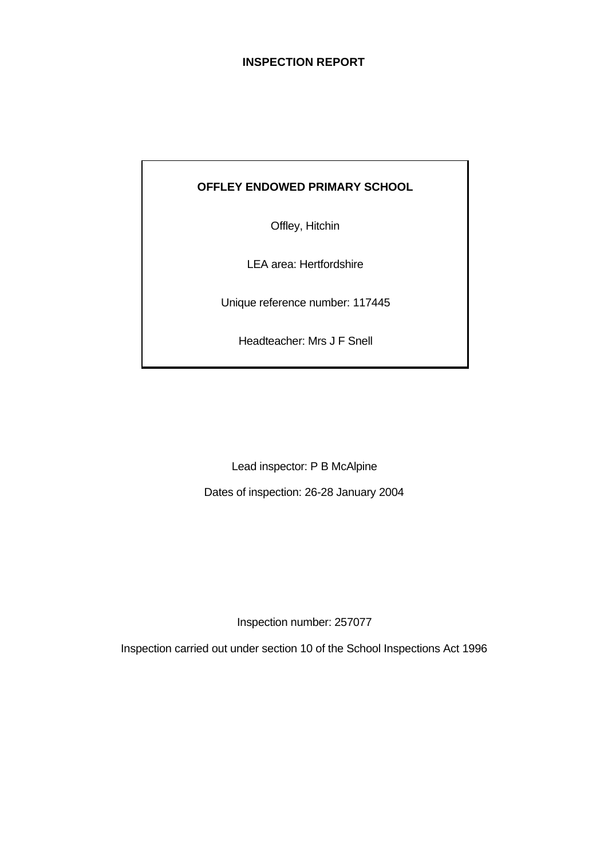## **INSPECTION REPORT**

## **OFFLEY ENDOWED PRIMARY SCHOOL**

Offley, Hitchin

LEA area: Hertfordshire

Unique reference number: 117445

Headteacher: Mrs J F Snell

Lead inspector: P B McAlpine

Dates of inspection: 26-28 January 2004

Inspection number: 257077

Inspection carried out under section 10 of the School Inspections Act 1996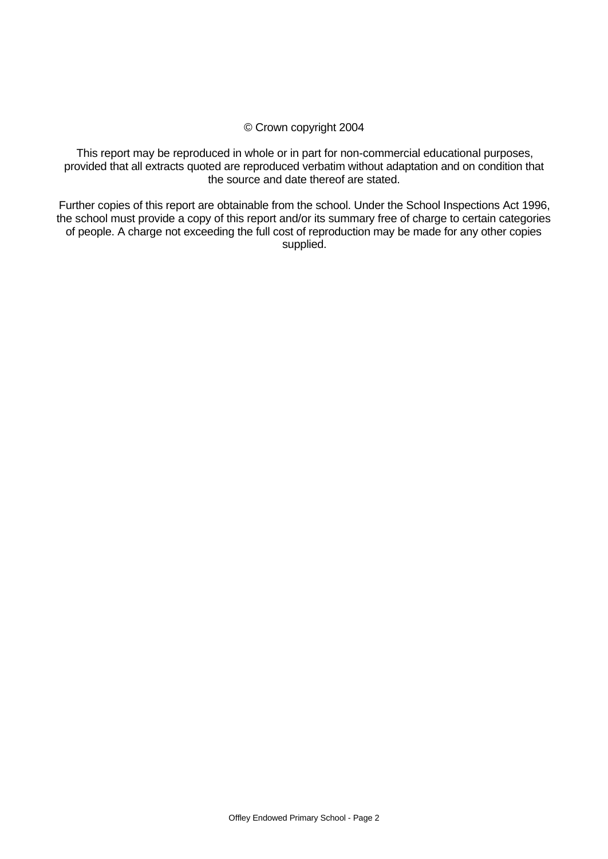#### © Crown copyright 2004

This report may be reproduced in whole or in part for non-commercial educational purposes, provided that all extracts quoted are reproduced verbatim without adaptation and on condition that the source and date thereof are stated.

Further copies of this report are obtainable from the school. Under the School Inspections Act 1996, the school must provide a copy of this report and/or its summary free of charge to certain categories of people. A charge not exceeding the full cost of reproduction may be made for any other copies supplied.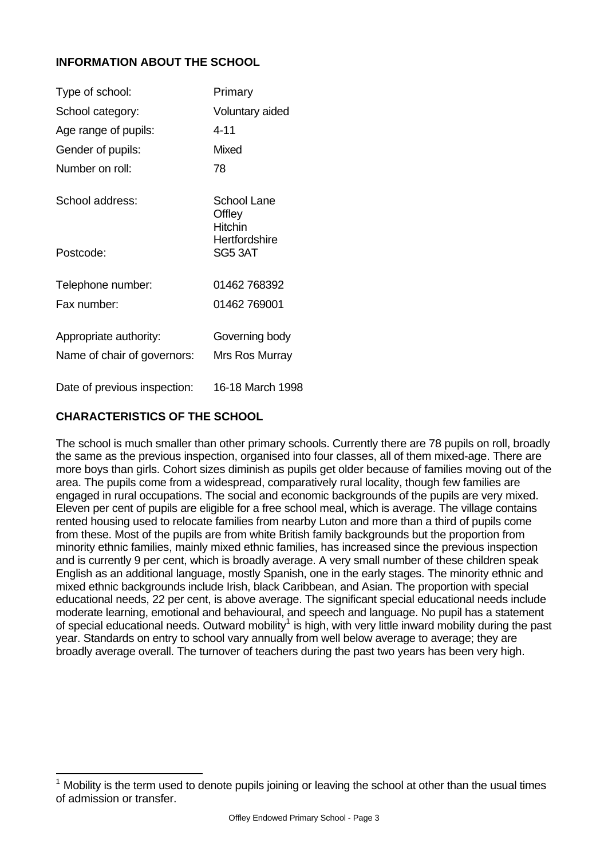## **INFORMATION ABOUT THE SCHOOL**

| Type of school:              | Primary                                 |
|------------------------------|-----------------------------------------|
| School category:             | Voluntary aided                         |
| Age range of pupils:         | 4-11                                    |
| Gender of pupils:            | Mixed                                   |
| Number on roll:              | 78                                      |
| School address:              | School Lane<br>Offley<br><b>Hitchin</b> |
| Postcode:                    | Hertfordshire<br>SG5 3AT                |
| Telephone number:            | 01462 768392                            |
| Fax number:                  | 01462 769001                            |
| Appropriate authority:       | Governing body                          |
| Name of chair of governors:  | Mrs Ros Murray                          |
| Date of previous inspection: | 16-18 March 1998                        |

## **CHARACTERISTICS OF THE SCHOOL**

The school is much smaller than other primary schools. Currently there are 78 pupils on roll, broadly the same as the previous inspection, organised into four classes, all of them mixed-age. There are more boys than girls. Cohort sizes diminish as pupils get older because of families moving out of the area. The pupils come from a widespread, comparatively rural locality, though few families are engaged in rural occupations. The social and economic backgrounds of the pupils are very mixed. Eleven per cent of pupils are eligible for a free school meal, which is average. The village contains rented housing used to relocate families from nearby Luton and more than a third of pupils come from these. Most of the pupils are from white British family backgrounds but the proportion from minority ethnic families, mainly mixed ethnic families, has increased since the previous inspection and is currently 9 per cent, which is broadly average. A very small number of these children speak English as an additional language, mostly Spanish, one in the early stages. The minority ethnic and mixed ethnic backgrounds include Irish, black Caribbean, and Asian. The proportion with special educational needs, 22 per cent, is above average. The significant special educational needs include moderate learning, emotional and behavioural, and speech and language. No pupil has a statement of special educational needs. Outward mobility<sup>1</sup> is high, with very little inward mobility during the past year. Standards on entry to school vary annually from well below average to average; they are broadly average overall. The turnover of teachers during the past two years has been very high.

**<sup>1</sup>**<br><sup>1</sup> Mobility is the term used to denote pupils joining or leaving the school at other than the usual times of admission or transfer.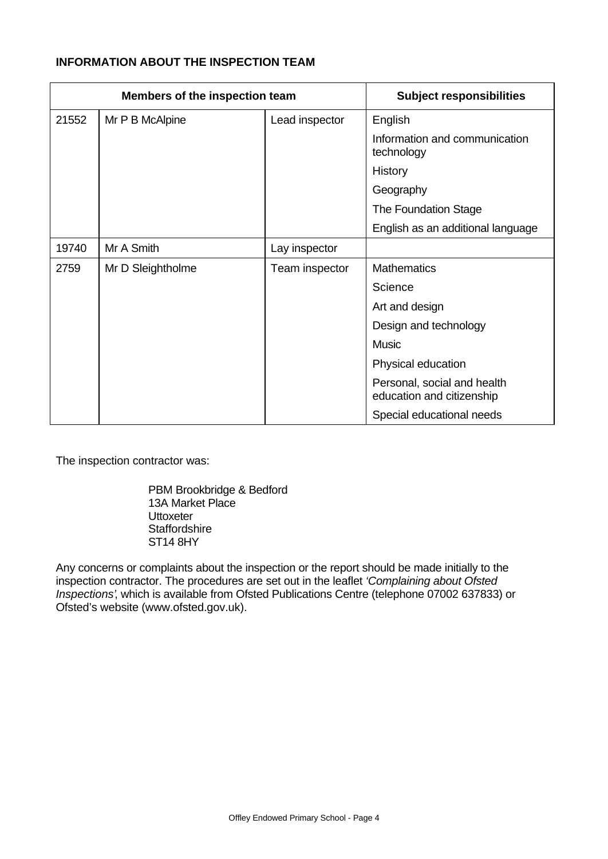# **INFORMATION ABOUT THE INSPECTION TEAM**

| Members of the inspection team |                   |                | <b>Subject responsibilities</b>                          |
|--------------------------------|-------------------|----------------|----------------------------------------------------------|
| 21552                          | Mr P B McAlpine   | Lead inspector | English                                                  |
|                                |                   |                | Information and communication<br>technology              |
|                                |                   |                | History                                                  |
|                                |                   |                | Geography                                                |
|                                |                   |                | The Foundation Stage                                     |
|                                |                   |                | English as an additional language                        |
| 19740                          | Mr A Smith        | Lay inspector  |                                                          |
| 2759                           | Mr D Sleightholme | Team inspector | <b>Mathematics</b>                                       |
|                                |                   |                | Science                                                  |
|                                |                   |                | Art and design                                           |
|                                |                   |                | Design and technology                                    |
|                                |                   |                | <b>Music</b>                                             |
|                                |                   |                | Physical education                                       |
|                                |                   |                | Personal, social and health<br>education and citizenship |
|                                |                   |                | Special educational needs                                |

The inspection contractor was:

PBM Brookbridge & Bedford 13A Market Place **Uttoxeter Staffordshire** ST14 8HY

Any concerns or complaints about the inspection or the report should be made initially to the inspection contractor. The procedures are set out in the leaflet *'Complaining about Ofsted Inspections'*, which is available from Ofsted Publications Centre (telephone 07002 637833) or Ofsted's website (www.ofsted.gov.uk).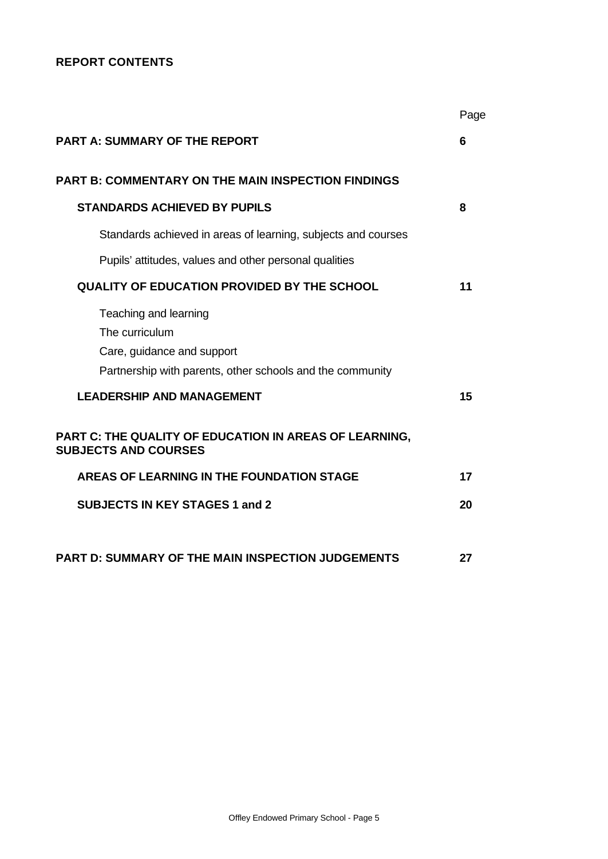## **REPORT CONTENTS**

|                                                                                                                                    | Page |
|------------------------------------------------------------------------------------------------------------------------------------|------|
| <b>PART A: SUMMARY OF THE REPORT</b>                                                                                               | 6    |
| <b>PART B: COMMENTARY ON THE MAIN INSPECTION FINDINGS</b>                                                                          |      |
| <b>STANDARDS ACHIEVED BY PUPILS</b>                                                                                                | 8    |
| Standards achieved in areas of learning, subjects and courses                                                                      |      |
| Pupils' attitudes, values and other personal qualities                                                                             |      |
| <b>QUALITY OF EDUCATION PROVIDED BY THE SCHOOL</b>                                                                                 | 11   |
| Teaching and learning<br>The curriculum<br>Care, guidance and support<br>Partnership with parents, other schools and the community |      |
| <b>LEADERSHIP AND MANAGEMENT</b>                                                                                                   | 15   |
| PART C: THE QUALITY OF EDUCATION IN AREAS OF LEARNING,<br><b>SUBJECTS AND COURSES</b>                                              |      |
| AREAS OF LEARNING IN THE FOUNDATION STAGE                                                                                          | 17   |
| <b>SUBJECTS IN KEY STAGES 1 and 2</b>                                                                                              | 20   |
| <b>PART D: SUMMARY OF THE MAIN INSPECTION JUDGEMENTS</b>                                                                           | 27   |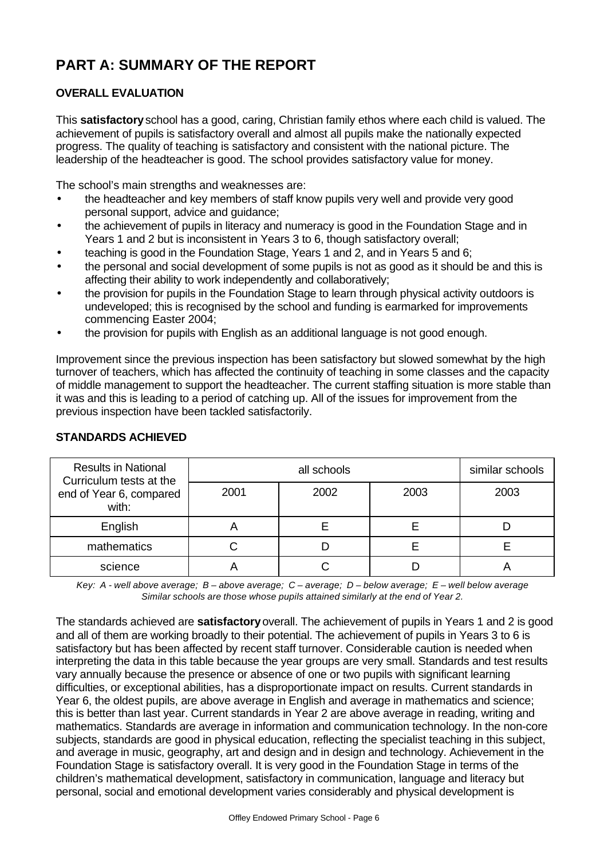# **PART A: SUMMARY OF THE REPORT**

# **OVERALL EVALUATION**

This **satisfactory** school has a good, caring, Christian family ethos where each child is valued. The achievement of pupils is satisfactory overall and almost all pupils make the nationally expected progress. The quality of teaching is satisfactory and consistent with the national picture. The leadership of the headteacher is good. The school provides satisfactory value for money.

The school's main strengths and weaknesses are:

- the headteacher and key members of staff know pupils very well and provide very good personal support, advice and guidance;
- the achievement of pupils in literacy and numeracy is good in the Foundation Stage and in Years 1 and 2 but is inconsistent in Years 3 to 6, though satisfactory overall;
- teaching is good in the Foundation Stage, Years 1 and 2, and in Years 5 and 6;
- the personal and social development of some pupils is not as good as it should be and this is affecting their ability to work independently and collaboratively;
- the provision for pupils in the Foundation Stage to learn through physical activity outdoors is undeveloped; this is recognised by the school and funding is earmarked for improvements commencing Easter 2004;
- the provision for pupils with English as an additional language is not good enough.

Improvement since the previous inspection has been satisfactory but slowed somewhat by the high turnover of teachers, which has affected the continuity of teaching in some classes and the capacity of middle management to support the headteacher. The current staffing situation is more stable than it was and this is leading to a period of catching up. All of the issues for improvement from the previous inspection have been tackled satisfactorily.

| <b>Results in National</b><br>Curriculum tests at the |      | all schools | similar schools |      |  |
|-------------------------------------------------------|------|-------------|-----------------|------|--|
| end of Year 6, compared<br>with:                      | 2001 | 2002        | 2003            | 2003 |  |
| English                                               |      |             |                 |      |  |
| mathematics                                           |      |             |                 |      |  |
| science                                               |      |             |                 |      |  |

## **STANDARDS ACHIEVED**

*Key: A - well above average; B – above average; C – average; D – below average; E – well below average Similar schools are those whose pupils attained similarly at the end of Year 2.*

The standards achieved are **satisfactory** overall. The achievement of pupils in Years 1 and 2 is good and all of them are working broadly to their potential. The achievement of pupils in Years 3 to 6 is satisfactory but has been affected by recent staff turnover. Considerable caution is needed when interpreting the data in this table because the year groups are very small. Standards and test results vary annually because the presence or absence of one or two pupils with significant learning difficulties, or exceptional abilities, has a disproportionate impact on results. Current standards in Year 6, the oldest pupils, are above average in English and average in mathematics and science; this is better than last year. Current standards in Year 2 are above average in reading, writing and mathematics. Standards are average in information and communication technology. In the non-core subjects, standards are good in physical education, reflecting the specialist teaching in this subject, and average in music, geography, art and design and in design and technology. Achievement in the Foundation Stage is satisfactory overall. It is very good in the Foundation Stage in terms of the children's mathematical development, satisfactory in communication, language and literacy but personal, social and emotional development varies considerably and physical development is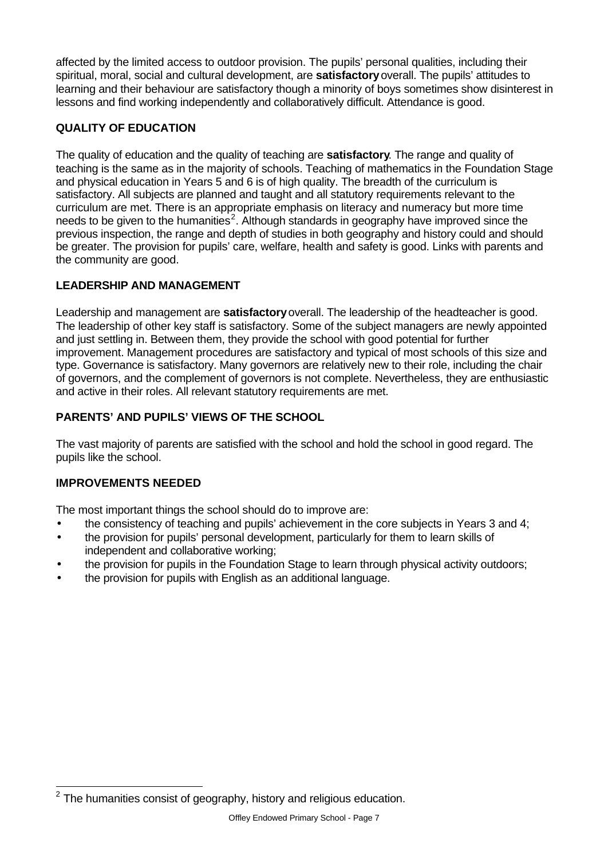affected by the limited access to outdoor provision. The pupils' personal qualities, including their spiritual, moral, social and cultural development, are **satisfactory** overall. The pupils' attitudes to learning and their behaviour are satisfactory though a minority of boys sometimes show disinterest in lessons and find working independently and collaboratively difficult. Attendance is good.

# **QUALITY OF EDUCATION**

The quality of education and the quality of teaching are **satisfactory**. The range and quality of teaching is the same as in the majority of schools. Teaching of mathematics in the Foundation Stage and physical education in Years 5 and 6 is of high quality. The breadth of the curriculum is satisfactory. All subjects are planned and taught and all statutory requirements relevant to the curriculum are met. There is an appropriate emphasis on literacy and numeracy but more time needs to be given to the humanities<sup>2</sup>. Although standards in geography have improved since the previous inspection, the range and depth of studies in both geography and history could and should be greater. The provision for pupils' care, welfare, health and safety is good. Links with parents and the community are good.

# **LEADERSHIP AND MANAGEMENT**

Leadership and management are **satisfactory** overall. The leadership of the headteacher is good. The leadership of other key staff is satisfactory. Some of the subject managers are newly appointed and just settling in. Between them, they provide the school with good potential for further improvement. Management procedures are satisfactory and typical of most schools of this size and type. Governance is satisfactory. Many governors are relatively new to their role, including the chair of governors, and the complement of governors is not complete. Nevertheless, they are enthusiastic and active in their roles. All relevant statutory requirements are met.

# **PARENTS' AND PUPILS' VIEWS OF THE SCHOOL**

The vast majority of parents are satisfied with the school and hold the school in good regard. The pupils like the school.

## **IMPROVEMENTS NEEDED**

The most important things the school should do to improve are:

- the consistency of teaching and pupils' achievement in the core subjects in Years 3 and 4;
- the provision for pupils' personal development, particularly for them to learn skills of independent and collaborative working;
- the provision for pupils in the Foundation Stage to learn through physical activity outdoors;
- the provision for pupils with English as an additional language.

l  $2$  The humanities consist of geography, history and religious education.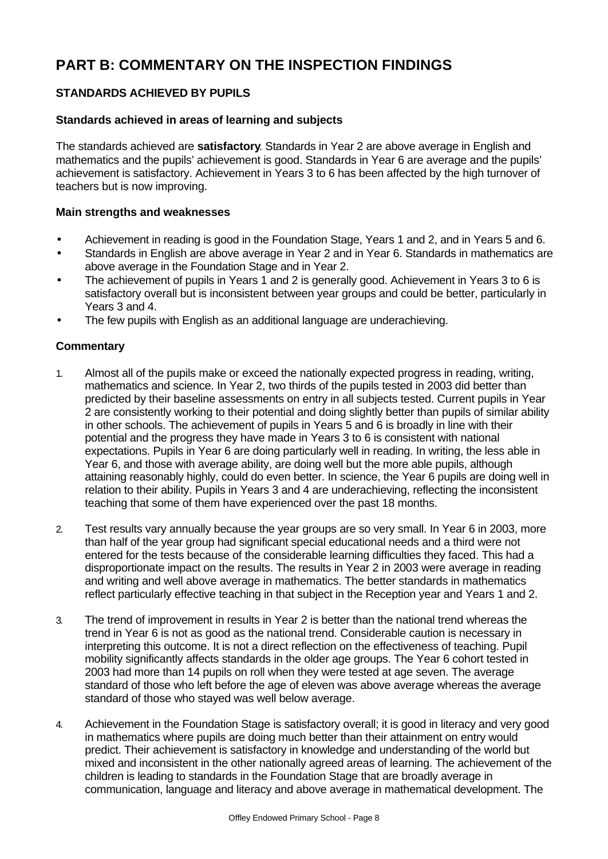# **PART B: COMMENTARY ON THE INSPECTION FINDINGS**

# **STANDARDS ACHIEVED BY PUPILS**

#### **Standards achieved in areas of learning and subjects**

The standards achieved are **satisfactory**. Standards in Year 2 are above average in English and mathematics and the pupils' achievement is good. Standards in Year 6 are average and the pupils' achievement is satisfactory. Achievement in Years 3 to 6 has been affected by the high turnover of teachers but is now improving.

#### **Main strengths and weaknesses**

- Achievement in reading is good in the Foundation Stage, Years 1 and 2, and in Years 5 and 6.
- Standards in English are above average in Year 2 and in Year 6. Standards in mathematics are above average in the Foundation Stage and in Year 2.
- The achievement of pupils in Years 1 and 2 is generally good. Achievement in Years 3 to 6 is satisfactory overall but is inconsistent between year groups and could be better, particularly in Years 3 and 4.
- The few pupils with English as an additional language are underachieving.

- 1. Almost all of the pupils make or exceed the nationally expected progress in reading, writing, mathematics and science. In Year 2, two thirds of the pupils tested in 2003 did better than predicted by their baseline assessments on entry in all subjects tested. Current pupils in Year 2 are consistently working to their potential and doing slightly better than pupils of similar ability in other schools. The achievement of pupils in Years 5 and 6 is broadly in line with their potential and the progress they have made in Years 3 to 6 is consistent with national expectations. Pupils in Year 6 are doing particularly well in reading. In writing, the less able in Year 6, and those with average ability, are doing well but the more able pupils, although attaining reasonably highly, could do even better. In science, the Year 6 pupils are doing well in relation to their ability. Pupils in Years 3 and 4 are underachieving, reflecting the inconsistent teaching that some of them have experienced over the past 18 months.
- 2. Test results vary annually because the year groups are so very small. In Year 6 in 2003, more than half of the year group had significant special educational needs and a third were not entered for the tests because of the considerable learning difficulties they faced. This had a disproportionate impact on the results. The results in Year 2 in 2003 were average in reading and writing and well above average in mathematics. The better standards in mathematics reflect particularly effective teaching in that subject in the Reception year and Years 1 and 2.
- 3. The trend of improvement in results in Year 2 is better than the national trend whereas the trend in Year 6 is not as good as the national trend. Considerable caution is necessary in interpreting this outcome. It is not a direct reflection on the effectiveness of teaching. Pupil mobility significantly affects standards in the older age groups. The Year 6 cohort tested in 2003 had more than 14 pupils on roll when they were tested at age seven. The average standard of those who left before the age of eleven was above average whereas the average standard of those who stayed was well below average.
- 4. Achievement in the Foundation Stage is satisfactory overall; it is good in literacy and very good in mathematics where pupils are doing much better than their attainment on entry would predict. Their achievement is satisfactory in knowledge and understanding of the world but mixed and inconsistent in the other nationally agreed areas of learning. The achievement of the children is leading to standards in the Foundation Stage that are broadly average in communication, language and literacy and above average in mathematical development. The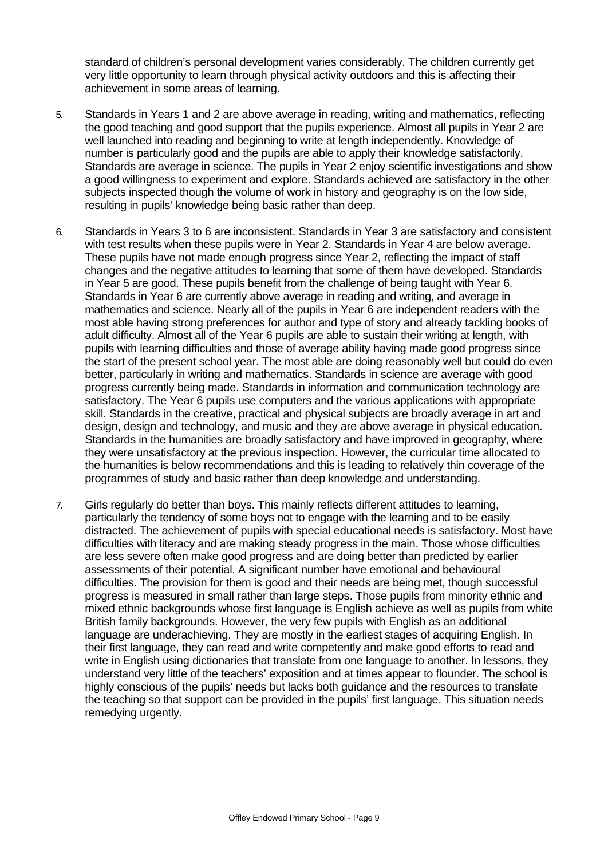standard of children's personal development varies considerably. The children currently get very little opportunity to learn through physical activity outdoors and this is affecting their achievement in some areas of learning.

- 5. Standards in Years 1 and 2 are above average in reading, writing and mathematics, reflecting the good teaching and good support that the pupils experience. Almost all pupils in Year 2 are well launched into reading and beginning to write at length independently. Knowledge of number is particularly good and the pupils are able to apply their knowledge satisfactorily. Standards are average in science. The pupils in Year 2 enjoy scientific investigations and show a good willingness to experiment and explore. Standards achieved are satisfactory in the other subjects inspected though the volume of work in history and geography is on the low side, resulting in pupils' knowledge being basic rather than deep.
- 6. Standards in Years 3 to 6 are inconsistent. Standards in Year 3 are satisfactory and consistent with test results when these pupils were in Year 2. Standards in Year 4 are below average. These pupils have not made enough progress since Year 2, reflecting the impact of staff changes and the negative attitudes to learning that some of them have developed. Standards in Year 5 are good. These pupils benefit from the challenge of being taught with Year 6. Standards in Year 6 are currently above average in reading and writing, and average in mathematics and science. Nearly all of the pupils in Year 6 are independent readers with the most able having strong preferences for author and type of story and already tackling books of adult difficulty. Almost all of the Year 6 pupils are able to sustain their writing at length, with pupils with learning difficulties and those of average ability having made good progress since the start of the present school year. The most able are doing reasonably well but could do even better, particularly in writing and mathematics. Standards in science are average with good progress currently being made. Standards in information and communication technology are satisfactory. The Year 6 pupils use computers and the various applications with appropriate skill. Standards in the creative, practical and physical subjects are broadly average in art and design, design and technology, and music and they are above average in physical education. Standards in the humanities are broadly satisfactory and have improved in geography, where they were unsatisfactory at the previous inspection. However, the curricular time allocated to the humanities is below recommendations and this is leading to relatively thin coverage of the programmes of study and basic rather than deep knowledge and understanding.
- 7. Girls regularly do better than boys. This mainly reflects different attitudes to learning, particularly the tendency of some boys not to engage with the learning and to be easily distracted. The achievement of pupils with special educational needs is satisfactory. Most have difficulties with literacy and are making steady progress in the main. Those whose difficulties are less severe often make good progress and are doing better than predicted by earlier assessments of their potential. A significant number have emotional and behavioural difficulties. The provision for them is good and their needs are being met, though successful progress is measured in small rather than large steps. Those pupils from minority ethnic and mixed ethnic backgrounds whose first language is English achieve as well as pupils from white British family backgrounds. However, the very few pupils with English as an additional language are underachieving. They are mostly in the earliest stages of acquiring English. In their first language, they can read and write competently and make good efforts to read and write in English using dictionaries that translate from one language to another. In lessons, they understand very little of the teachers' exposition and at times appear to flounder. The school is highly conscious of the pupils' needs but lacks both guidance and the resources to translate the teaching so that support can be provided in the pupils' first language. This situation needs remedying urgently.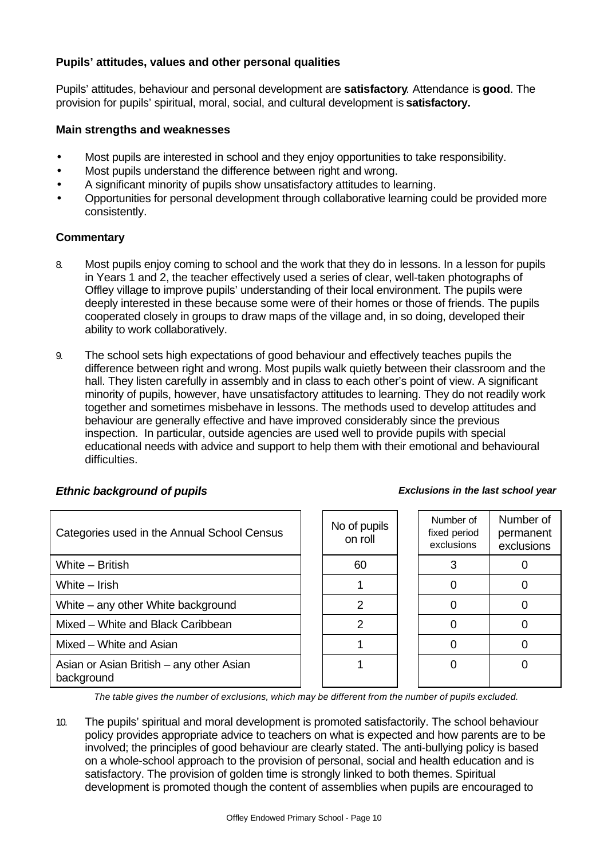## **Pupils' attitudes, values and other personal qualities**

Pupils' attitudes, behaviour and personal development are **satisfactory**. Attendance is **good**. The provision for pupils' spiritual, moral, social, and cultural development is **satisfactory.**

#### **Main strengths and weaknesses**

- Most pupils are interested in school and they enjoy opportunities to take responsibility.
- Most pupils understand the difference between right and wrong.
- A significant minority of pupils show unsatisfactory attitudes to learning.
- Opportunities for personal development through collaborative learning could be provided more consistently.

#### **Commentary**

- 8. Most pupils enjoy coming to school and the work that they do in lessons. In a lesson for pupils in Years 1 and 2, the teacher effectively used a series of clear, well-taken photographs of Offley village to improve pupils' understanding of their local environment. The pupils were deeply interested in these because some were of their homes or those of friends. The pupils cooperated closely in groups to draw maps of the village and, in so doing, developed their ability to work collaboratively.
- 9. The school sets high expectations of good behaviour and effectively teaches pupils the difference between right and wrong. Most pupils walk quietly between their classroom and the hall. They listen carefully in assembly and in class to each other's point of view. A significant minority of pupils, however, have unsatisfactory attitudes to learning. They do not readily work together and sometimes misbehave in lessons. The methods used to develop attitudes and behaviour are generally effective and have improved considerably since the previous inspection. In particular, outside agencies are used well to provide pupils with special educational needs with advice and support to help them with their emotional and behavioural difficulties.

| Categories used in the Annual School Census            | No of pupils<br>on roll | Number of<br>fixed period<br>exclusions | Numb<br>perma<br>exclus |
|--------------------------------------------------------|-------------------------|-----------------------------------------|-------------------------|
| White - British                                        | 60                      |                                         | 0                       |
| White – Irish                                          |                         |                                         | $\Omega$                |
| White – any other White background                     | 2                       |                                         | 0                       |
| Mixed – White and Black Caribbean                      | $\mathcal{P}$           |                                         | 0                       |
| Mixed - White and Asian                                |                         |                                         | 0                       |
| Asian or Asian British – any other Asian<br>background |                         |                                         | 0                       |

| o of pupils<br>on roll | Number of<br>fixed period<br>exclusions | Number of<br>permanent<br>exclusions |
|------------------------|-----------------------------------------|--------------------------------------|
| 60                     | З                                       |                                      |
|                        |                                         |                                      |
| 2                      |                                         |                                      |
| 2                      |                                         |                                      |
|                        |                                         |                                      |
|                        |                                         |                                      |
|                        |                                         |                                      |

*The table gives the number of exclusions, which may be different from the number of pupils excluded.*

10. The pupils' spiritual and moral development is promoted satisfactorily. The school behaviour policy provides appropriate advice to teachers on what is expected and how parents are to be involved; the principles of good behaviour are clearly stated. The anti-bullying policy is based on a whole-school approach to the provision of personal, social and health education and is satisfactory. The provision of golden time is strongly linked to both themes. Spiritual development is promoted though the content of assemblies when pupils are encouraged to

# *Ethnic background of pupils Exclusions in the last school year*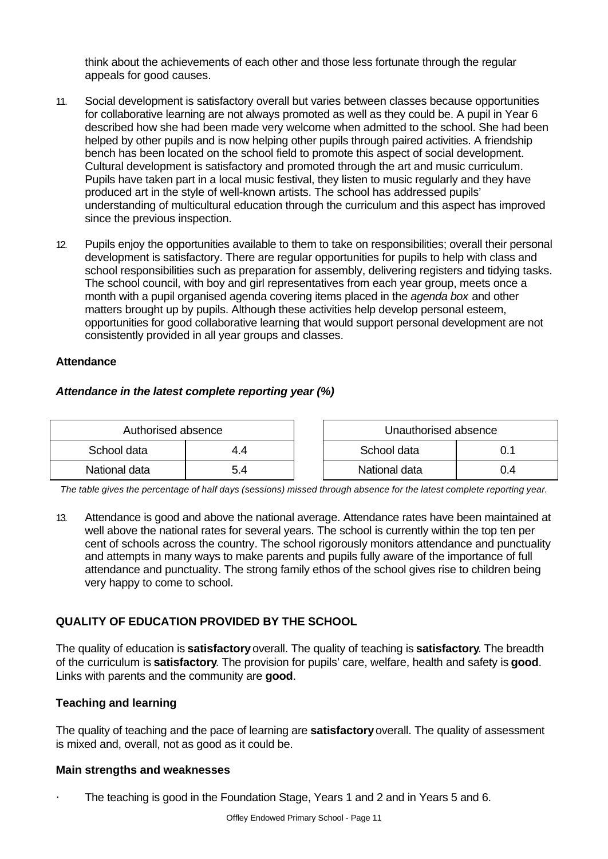think about the achievements of each other and those less fortunate through the regular appeals for good causes.

- 11. Social development is satisfactory overall but varies between classes because opportunities for collaborative learning are not always promoted as well as they could be. A pupil in Year 6 described how she had been made very welcome when admitted to the school. She had been helped by other pupils and is now helping other pupils through paired activities. A friendship bench has been located on the school field to promote this aspect of social development. Cultural development is satisfactory and promoted through the art and music curriculum. Pupils have taken part in a local music festival, they listen to music regularly and they have produced art in the style of well-known artists. The school has addressed pupils' understanding of multicultural education through the curriculum and this aspect has improved since the previous inspection.
- 12. Pupils enjoy the opportunities available to them to take on responsibilities; overall their personal development is satisfactory. There are regular opportunities for pupils to help with class and school responsibilities such as preparation for assembly, delivering registers and tidying tasks. The school council, with boy and girl representatives from each year group, meets once a month with a pupil organised agenda covering items placed in the *agenda box* and other matters brought up by pupils. Although these activities help develop personal esteem, opportunities for good collaborative learning that would support personal development are not consistently provided in all year groups and classes.

#### **Attendance**

#### *Attendance in the latest complete reporting year (%)*

| Authorised absence |     | Unauthorised absence |     |
|--------------------|-----|----------------------|-----|
| School data        | 4.4 | School data          |     |
| National data      | 5.4 | National data        | ).4 |

*The table gives the percentage of half days (sessions) missed through absence for the latest complete reporting year.*

13. Attendance is good and above the national average. Attendance rates have been maintained at well above the national rates for several years. The school is currently within the top ten per cent of schools across the country. The school rigorously monitors attendance and punctuality and attempts in many ways to make parents and pupils fully aware of the importance of full attendance and punctuality. The strong family ethos of the school gives rise to children being very happy to come to school.

## **QUALITY OF EDUCATION PROVIDED BY THE SCHOOL**

The quality of education is **satisfactory** overall. The quality of teaching is **satisfactory**. The breadth of the curriculum is **satisfactory**. The provision for pupils' care, welfare, health and safety is **good**. Links with parents and the community are **good**.

#### **Teaching and learning**

The quality of teaching and the pace of learning are **satisfactory** overall. The quality of assessment is mixed and, overall, not as good as it could be.

#### **Main strengths and weaknesses**

The teaching is good in the Foundation Stage, Years 1 and 2 and in Years 5 and 6.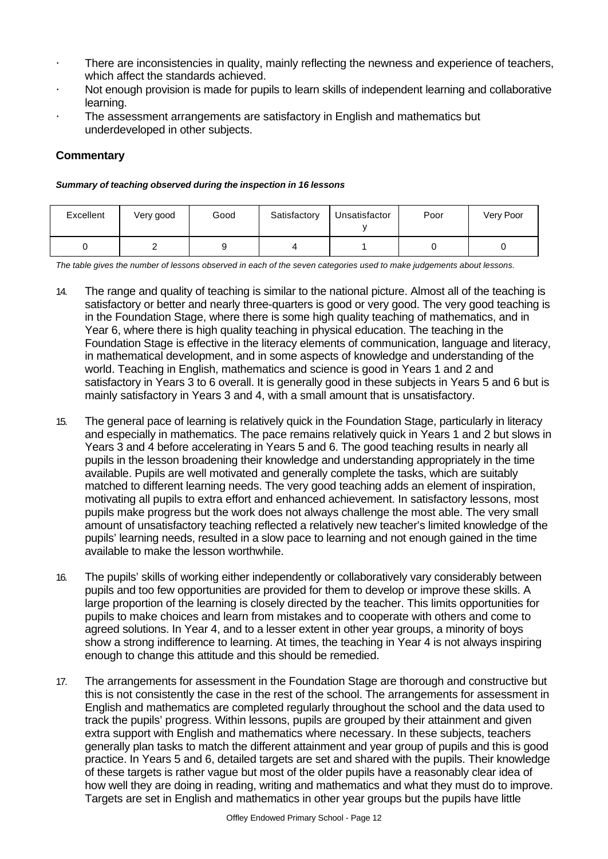- There are inconsistencies in quality, mainly reflecting the newness and experience of teachers, which affect the standards achieved.
- Not enough provision is made for pupils to learn skills of independent learning and collaborative learning.
- The assessment arrangements are satisfactory in English and mathematics but underdeveloped in other subjects.

## **Commentary**

#### *Summary of teaching observed during the inspection in 16 lessons*

| Excellent | Very good | Good | Satisfactory | Unsatisfactor | Poor | Very Poor |
|-----------|-----------|------|--------------|---------------|------|-----------|
|           |           |      |              |               |      |           |

*The table gives the number of lessons observed in each of the seven categories used to make judgements about lessons.*

- 14. The range and quality of teaching is similar to the national picture. Almost all of the teaching is satisfactory or better and nearly three-quarters is good or very good. The very good teaching is in the Foundation Stage, where there is some high quality teaching of mathematics, and in Year 6, where there is high quality teaching in physical education. The teaching in the Foundation Stage is effective in the literacy elements of communication, language and literacy, in mathematical development, and in some aspects of knowledge and understanding of the world. Teaching in English, mathematics and science is good in Years 1 and 2 and satisfactory in Years 3 to 6 overall. It is generally good in these subjects in Years 5 and 6 but is mainly satisfactory in Years 3 and 4, with a small amount that is unsatisfactory.
- 15. The general pace of learning is relatively quick in the Foundation Stage, particularly in literacy and especially in mathematics. The pace remains relatively quick in Years 1 and 2 but slows in Years 3 and 4 before accelerating in Years 5 and 6. The good teaching results in nearly all pupils in the lesson broadening their knowledge and understanding appropriately in the time available. Pupils are well motivated and generally complete the tasks, which are suitably matched to different learning needs. The very good teaching adds an element of inspiration, motivating all pupils to extra effort and enhanced achievement. In satisfactory lessons, most pupils make progress but the work does not always challenge the most able. The very small amount of unsatisfactory teaching reflected a relatively new teacher's limited knowledge of the pupils' learning needs, resulted in a slow pace to learning and not enough gained in the time available to make the lesson worthwhile.
- 16. The pupils' skills of working either independently or collaboratively vary considerably between pupils and too few opportunities are provided for them to develop or improve these skills. A large proportion of the learning is closely directed by the teacher. This limits opportunities for pupils to make choices and learn from mistakes and to cooperate with others and come to agreed solutions. In Year 4, and to a lesser extent in other year groups, a minority of boys show a strong indifference to learning. At times, the teaching in Year 4 is not always inspiring enough to change this attitude and this should be remedied.
- 17. The arrangements for assessment in the Foundation Stage are thorough and constructive but this is not consistently the case in the rest of the school. The arrangements for assessment in English and mathematics are completed regularly throughout the school and the data used to track the pupils' progress. Within lessons, pupils are grouped by their attainment and given extra support with English and mathematics where necessary. In these subjects, teachers generally plan tasks to match the different attainment and year group of pupils and this is good practice. In Years 5 and 6, detailed targets are set and shared with the pupils. Their knowledge of these targets is rather vague but most of the older pupils have a reasonably clear idea of how well they are doing in reading, writing and mathematics and what they must do to improve. Targets are set in English and mathematics in other year groups but the pupils have little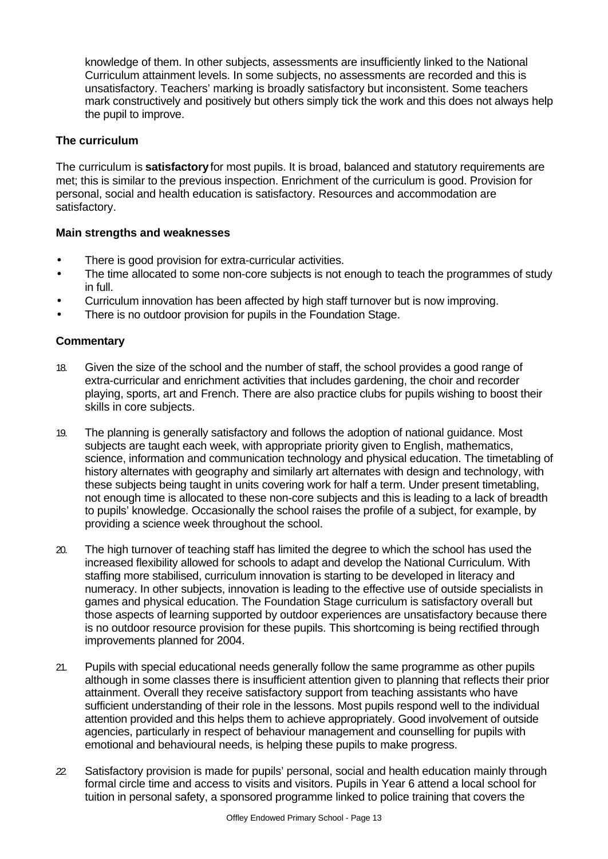knowledge of them. In other subjects, assessments are insufficiently linked to the National Curriculum attainment levels. In some subjects, no assessments are recorded and this is unsatisfactory. Teachers' marking is broadly satisfactory but inconsistent. Some teachers mark constructively and positively but others simply tick the work and this does not always help the pupil to improve.

#### **The curriculum**

The curriculum is **satisfactory** for most pupils. It is broad, balanced and statutory requirements are met; this is similar to the previous inspection. Enrichment of the curriculum is good. Provision for personal, social and health education is satisfactory. Resources and accommodation are satisfactory.

## **Main strengths and weaknesses**

- There is good provision for extra-curricular activities.
- The time allocated to some non-core subjects is not enough to teach the programmes of study in full.
- Curriculum innovation has been affected by high staff turnover but is now improving.
- There is no outdoor provision for pupils in the Foundation Stage.

- 18. Given the size of the school and the number of staff, the school provides a good range of extra-curricular and enrichment activities that includes gardening, the choir and recorder playing, sports, art and French. There are also practice clubs for pupils wishing to boost their skills in core subjects.
- 19. The planning is generally satisfactory and follows the adoption of national guidance. Most subjects are taught each week, with appropriate priority given to English, mathematics, science, information and communication technology and physical education. The timetabling of history alternates with geography and similarly art alternates with design and technology, with these subjects being taught in units covering work for half a term. Under present timetabling, not enough time is allocated to these non-core subjects and this is leading to a lack of breadth to pupils' knowledge. Occasionally the school raises the profile of a subject, for example, by providing a science week throughout the school.
- 20. The high turnover of teaching staff has limited the degree to which the school has used the increased flexibility allowed for schools to adapt and develop the National Curriculum. With staffing more stabilised, curriculum innovation is starting to be developed in literacy and numeracy. In other subjects, innovation is leading to the effective use of outside specialists in games and physical education. The Foundation Stage curriculum is satisfactory overall but those aspects of learning supported by outdoor experiences are unsatisfactory because there is no outdoor resource provision for these pupils. This shortcoming is being rectified through improvements planned for 2004.
- 21. Pupils with special educational needs generally follow the same programme as other pupils although in some classes there is insufficient attention given to planning that reflects their prior attainment. Overall they receive satisfactory support from teaching assistants who have sufficient understanding of their role in the lessons. Most pupils respond well to the individual attention provided and this helps them to achieve appropriately. Good involvement of outside agencies, particularly in respect of behaviour management and counselling for pupils with emotional and behavioural needs, is helping these pupils to make progress.
- *22.* Satisfactory provision is made for pupils' personal, social and health education mainly through formal circle time and access to visits and visitors. Pupils in Year 6 attend a local school for tuition in personal safety, a sponsored programme linked to police training that covers the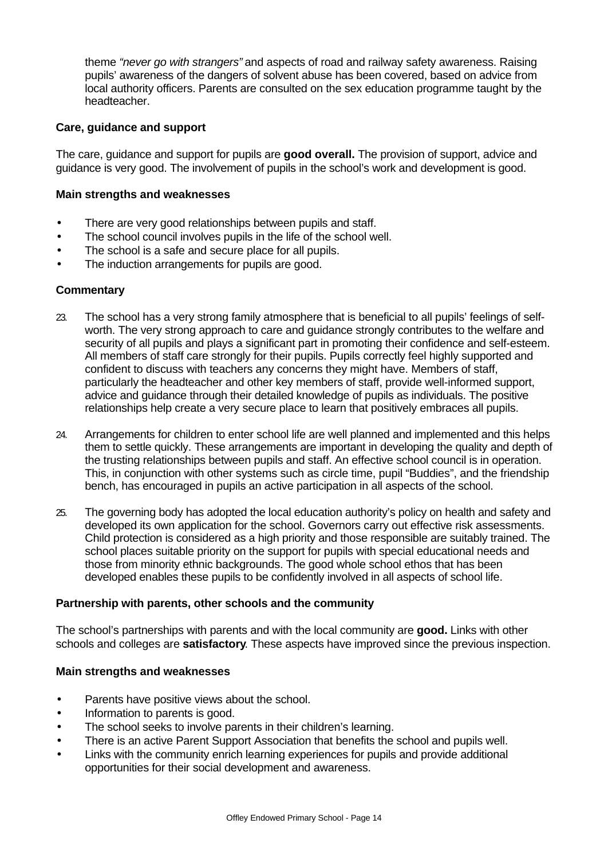theme *"never go with strangers"* and aspects of road and railway safety awareness. Raising pupils' awareness of the dangers of solvent abuse has been covered, based on advice from local authority officers. Parents are consulted on the sex education programme taught by the headteacher.

#### **Care, guidance and support**

The care, guidance and support for pupils are **good overall.** The provision of support, advice and guidance is very good. The involvement of pupils in the school's work and development is good.

#### **Main strengths and weaknesses**

- There are very good relationships between pupils and staff.
- The school council involves pupils in the life of the school well.
- The school is a safe and secure place for all pupils.
- The induction arrangements for pupils are good.

#### **Commentary**

- 23. The school has a very strong family atmosphere that is beneficial to all pupils' feelings of selfworth. The very strong approach to care and guidance strongly contributes to the welfare and security of all pupils and plays a significant part in promoting their confidence and self-esteem. All members of staff care strongly for their pupils. Pupils correctly feel highly supported and confident to discuss with teachers any concerns they might have. Members of staff, particularly the headteacher and other key members of staff, provide well-informed support, advice and guidance through their detailed knowledge of pupils as individuals. The positive relationships help create a very secure place to learn that positively embraces all pupils.
- 24. Arrangements for children to enter school life are well planned and implemented and this helps them to settle quickly. These arrangements are important in developing the quality and depth of the trusting relationships between pupils and staff. An effective school council is in operation. This, in conjunction with other systems such as circle time, pupil "Buddies", and the friendship bench, has encouraged in pupils an active participation in all aspects of the school.
- 25. The governing body has adopted the local education authority's policy on health and safety and developed its own application for the school. Governors carry out effective risk assessments. Child protection is considered as a high priority and those responsible are suitably trained. The school places suitable priority on the support for pupils with special educational needs and those from minority ethnic backgrounds. The good whole school ethos that has been developed enables these pupils to be confidently involved in all aspects of school life.

#### **Partnership with parents, other schools and the community**

The school's partnerships with parents and with the local community are **good.** Links with other schools and colleges are **satisfactory**. These aspects have improved since the previous inspection.

#### **Main strengths and weaknesses**

- Parents have positive views about the school.
- Information to parents is good.
- The school seeks to involve parents in their children's learning.
- There is an active Parent Support Association that benefits the school and pupils well.
- Links with the community enrich learning experiences for pupils and provide additional opportunities for their social development and awareness.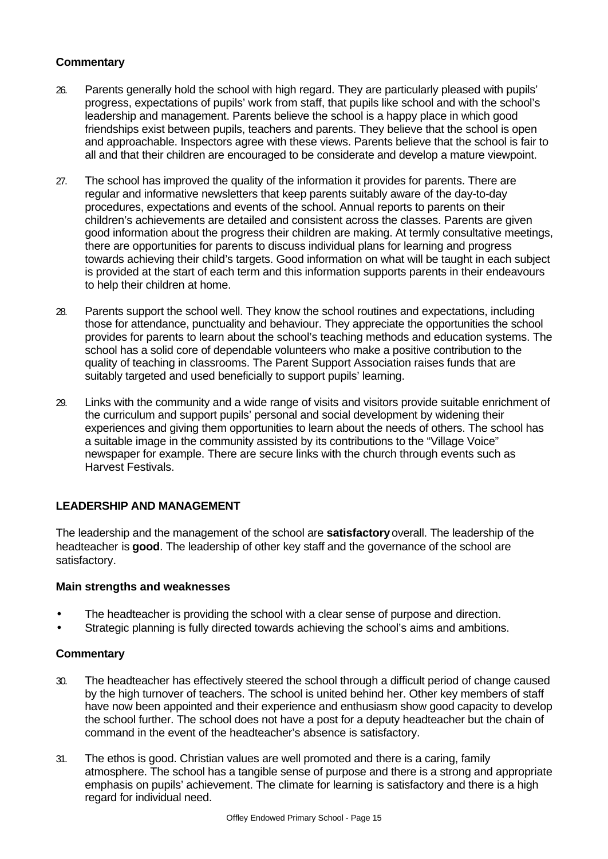## **Commentary**

- 26. Parents generally hold the school with high regard. They are particularly pleased with pupils' progress, expectations of pupils' work from staff, that pupils like school and with the school's leadership and management. Parents believe the school is a happy place in which good friendships exist between pupils, teachers and parents. They believe that the school is open and approachable. Inspectors agree with these views. Parents believe that the school is fair to all and that their children are encouraged to be considerate and develop a mature viewpoint.
- 27. The school has improved the quality of the information it provides for parents. There are regular and informative newsletters that keep parents suitably aware of the day-to-day procedures, expectations and events of the school. Annual reports to parents on their children's achievements are detailed and consistent across the classes. Parents are given good information about the progress their children are making. At termly consultative meetings, there are opportunities for parents to discuss individual plans for learning and progress towards achieving their child's targets. Good information on what will be taught in each subject is provided at the start of each term and this information supports parents in their endeavours to help their children at home.
- 28. Parents support the school well. They know the school routines and expectations, including those for attendance, punctuality and behaviour. They appreciate the opportunities the school provides for parents to learn about the school's teaching methods and education systems. The school has a solid core of dependable volunteers who make a positive contribution to the quality of teaching in classrooms. The Parent Support Association raises funds that are suitably targeted and used beneficially to support pupils' learning.
- 29. Links with the community and a wide range of visits and visitors provide suitable enrichment of the curriculum and support pupils' personal and social development by widening their experiences and giving them opportunities to learn about the needs of others. The school has a suitable image in the community assisted by its contributions to the "Village Voice" newspaper for example. There are secure links with the church through events such as Harvest Festivals.

#### **LEADERSHIP AND MANAGEMENT**

The leadership and the management of the school are **satisfactory** overall. The leadership of the headteacher is **good**. The leadership of other key staff and the governance of the school are satisfactory.

#### **Main strengths and weaknesses**

- The headteacher is providing the school with a clear sense of purpose and direction.
- Strategic planning is fully directed towards achieving the school's aims and ambitions.

- 30. The headteacher has effectively steered the school through a difficult period of change caused by the high turnover of teachers. The school is united behind her. Other key members of staff have now been appointed and their experience and enthusiasm show good capacity to develop the school further. The school does not have a post for a deputy headteacher but the chain of command in the event of the headteacher's absence is satisfactory.
- 31. The ethos is good. Christian values are well promoted and there is a caring, family atmosphere. The school has a tangible sense of purpose and there is a strong and appropriate emphasis on pupils' achievement. The climate for learning is satisfactory and there is a high regard for individual need.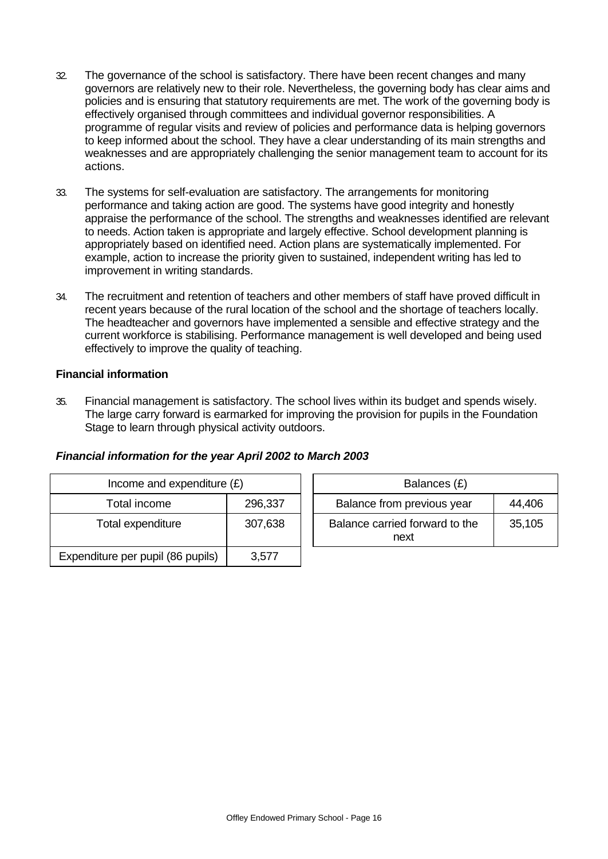- 32. The governance of the school is satisfactory. There have been recent changes and many governors are relatively new to their role. Nevertheless, the governing body has clear aims and policies and is ensuring that statutory requirements are met. The work of the governing body is effectively organised through committees and individual governor responsibilities. A programme of regular visits and review of policies and performance data is helping governors to keep informed about the school. They have a clear understanding of its main strengths and weaknesses and are appropriately challenging the senior management team to account for its actions.
- 33. The systems for self-evaluation are satisfactory. The arrangements for monitoring performance and taking action are good. The systems have good integrity and honestly appraise the performance of the school. The strengths and weaknesses identified are relevant to needs. Action taken is appropriate and largely effective. School development planning is appropriately based on identified need. Action plans are systematically implemented. For example, action to increase the priority given to sustained, independent writing has led to improvement in writing standards.
- 34. The recruitment and retention of teachers and other members of staff have proved difficult in recent years because of the rural location of the school and the shortage of teachers locally. The headteacher and governors have implemented a sensible and effective strategy and the current workforce is stabilising. Performance management is well developed and being used effectively to improve the quality of teaching.

## **Financial information**

35. Financial management is satisfactory. The school lives within its budget and spends wisely. The large carry forward is earmarked for improving the provision for pupils in the Foundation Stage to learn through physical activity outdoors.

#### *Financial information for the year April 2002 to March 2003*

| Income and expenditure $(E)$      |         |  | Balances (£)                           |        |
|-----------------------------------|---------|--|----------------------------------------|--------|
| Total income                      | 296,337 |  | Balance from previous year             | 44,406 |
| Total expenditure                 | 307,638 |  | Balance carried forward to the<br>next | 35,105 |
| Expenditure per pupil (86 pupils) | 3,577   |  |                                        |        |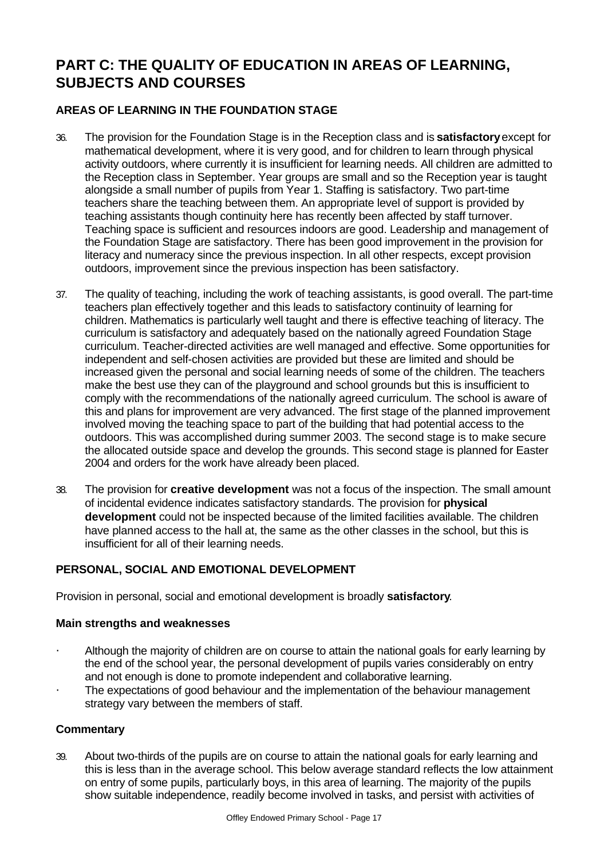# **PART C: THE QUALITY OF EDUCATION IN AREAS OF LEARNING, SUBJECTS AND COURSES**

# **AREAS OF LEARNING IN THE FOUNDATION STAGE**

- 36. The provision for the Foundation Stage is in the Reception class and is **satisfactory** except for mathematical development, where it is very good, and for children to learn through physical activity outdoors, where currently it is insufficient for learning needs. All children are admitted to the Reception class in September. Year groups are small and so the Reception year is taught alongside a small number of pupils from Year 1. Staffing is satisfactory. Two part-time teachers share the teaching between them. An appropriate level of support is provided by teaching assistants though continuity here has recently been affected by staff turnover. Teaching space is sufficient and resources indoors are good. Leadership and management of the Foundation Stage are satisfactory. There has been good improvement in the provision for literacy and numeracy since the previous inspection. In all other respects, except provision outdoors, improvement since the previous inspection has been satisfactory.
- 37. The quality of teaching, including the work of teaching assistants, is good overall. The part-time teachers plan effectively together and this leads to satisfactory continuity of learning for children. Mathematics is particularly well taught and there is effective teaching of literacy. The curriculum is satisfactory and adequately based on the nationally agreed Foundation Stage curriculum. Teacher-directed activities are well managed and effective. Some opportunities for independent and self-chosen activities are provided but these are limited and should be increased given the personal and social learning needs of some of the children. The teachers make the best use they can of the playground and school grounds but this is insufficient to comply with the recommendations of the nationally agreed curriculum. The school is aware of this and plans for improvement are very advanced. The first stage of the planned improvement involved moving the teaching space to part of the building that had potential access to the outdoors. This was accomplished during summer 2003. The second stage is to make secure the allocated outside space and develop the grounds. This second stage is planned for Easter 2004 and orders for the work have already been placed.
- 38. The provision for **creative development** was not a focus of the inspection. The small amount of incidental evidence indicates satisfactory standards. The provision for **physical development** could not be inspected because of the limited facilities available. The children have planned access to the hall at, the same as the other classes in the school, but this is insufficient for all of their learning needs.

## **PERSONAL, SOCIAL AND EMOTIONAL DEVELOPMENT**

Provision in personal, social and emotional development is broadly **satisfactory**.

#### **Main strengths and weaknesses**

- Although the majority of children are on course to attain the national goals for early learning by the end of the school year, the personal development of pupils varies considerably on entry and not enough is done to promote independent and collaborative learning.
- The expectations of good behaviour and the implementation of the behaviour management strategy vary between the members of staff.

#### **Commentary**

39. About two-thirds of the pupils are on course to attain the national goals for early learning and this is less than in the average school. This below average standard reflects the low attainment on entry of some pupils, particularly boys, in this area of learning. The majority of the pupils show suitable independence, readily become involved in tasks, and persist with activities of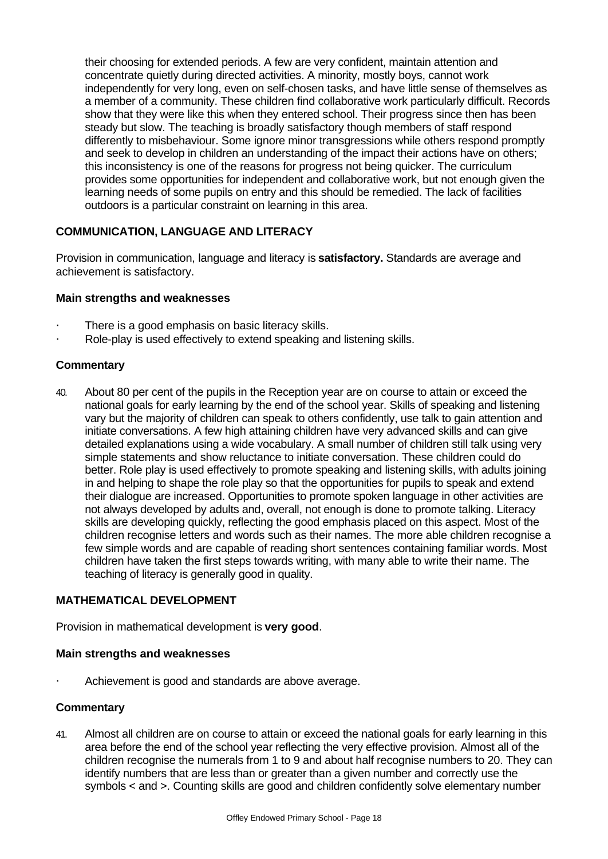their choosing for extended periods. A few are very confident, maintain attention and concentrate quietly during directed activities. A minority, mostly boys, cannot work independently for very long, even on self-chosen tasks, and have little sense of themselves as a member of a community. These children find collaborative work particularly difficult. Records show that they were like this when they entered school. Their progress since then has been steady but slow. The teaching is broadly satisfactory though members of staff respond differently to misbehaviour. Some ignore minor transgressions while others respond promptly and seek to develop in children an understanding of the impact their actions have on others; this inconsistency is one of the reasons for progress not being quicker. The curriculum provides some opportunities for independent and collaborative work, but not enough given the learning needs of some pupils on entry and this should be remedied. The lack of facilities outdoors is a particular constraint on learning in this area.

## **COMMUNICATION, LANGUAGE AND LITERACY**

Provision in communication, language and literacy is **satisfactory.** Standards are average and achievement is satisfactory.

## **Main strengths and weaknesses**

- There is a good emphasis on basic literacy skills.
- Role-play is used effectively to extend speaking and listening skills.

## **Commentary**

40. About 80 per cent of the pupils in the Reception year are on course to attain or exceed the national goals for early learning by the end of the school year. Skills of speaking and listening vary but the majority of children can speak to others confidently, use talk to gain attention and initiate conversations. A few high attaining children have very advanced skills and can give detailed explanations using a wide vocabulary. A small number of children still talk using very simple statements and show reluctance to initiate conversation. These children could do better. Role play is used effectively to promote speaking and listening skills, with adults joining in and helping to shape the role play so that the opportunities for pupils to speak and extend their dialogue are increased. Opportunities to promote spoken language in other activities are not always developed by adults and, overall, not enough is done to promote talking. Literacy skills are developing quickly, reflecting the good emphasis placed on this aspect. Most of the children recognise letters and words such as their names. The more able children recognise a few simple words and are capable of reading short sentences containing familiar words. Most children have taken the first steps towards writing, with many able to write their name. The teaching of literacy is generally good in quality.

#### **MATHEMATICAL DEVELOPMENT**

Provision in mathematical development is **very good**.

#### **Main strengths and weaknesses**

Achievement is good and standards are above average.

#### **Commentary**

41. Almost all children are on course to attain or exceed the national goals for early learning in this area before the end of the school year reflecting the very effective provision. Almost all of the children recognise the numerals from 1 to 9 and about half recognise numbers to 20. They can identify numbers that are less than or greater than a given number and correctly use the symbols < and >. Counting skills are good and children confidently solve elementary number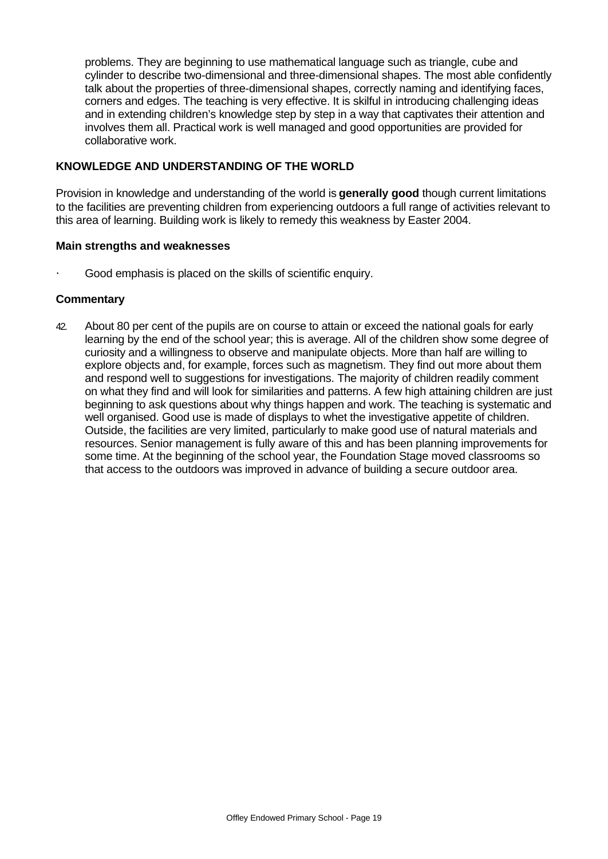problems. They are beginning to use mathematical language such as triangle, cube and cylinder to describe two-dimensional and three-dimensional shapes. The most able confidently talk about the properties of three-dimensional shapes, correctly naming and identifying faces, corners and edges. The teaching is very effective. It is skilful in introducing challenging ideas and in extending children's knowledge step by step in a way that captivates their attention and involves them all. Practical work is well managed and good opportunities are provided for collaborative work.

## **KNOWLEDGE AND UNDERSTANDING OF THE WORLD**

Provision in knowledge and understanding of the world is **generally good** though current limitations to the facilities are preventing children from experiencing outdoors a full range of activities relevant to this area of learning. Building work is likely to remedy this weakness by Easter 2004.

#### **Main strengths and weaknesses**

Good emphasis is placed on the skills of scientific enquiry.

## **Commentary**

42. About 80 per cent of the pupils are on course to attain or exceed the national goals for early learning by the end of the school year; this is average. All of the children show some degree of curiosity and a willingness to observe and manipulate objects. More than half are willing to explore objects and, for example, forces such as magnetism. They find out more about them and respond well to suggestions for investigations. The majority of children readily comment on what they find and will look for similarities and patterns. A few high attaining children are just beginning to ask questions about why things happen and work. The teaching is systematic and well organised. Good use is made of displays to whet the investigative appetite of children. Outside, the facilities are very limited, particularly to make good use of natural materials and resources. Senior management is fully aware of this and has been planning improvements for some time. At the beginning of the school year, the Foundation Stage moved classrooms so that access to the outdoors was improved in advance of building a secure outdoor area.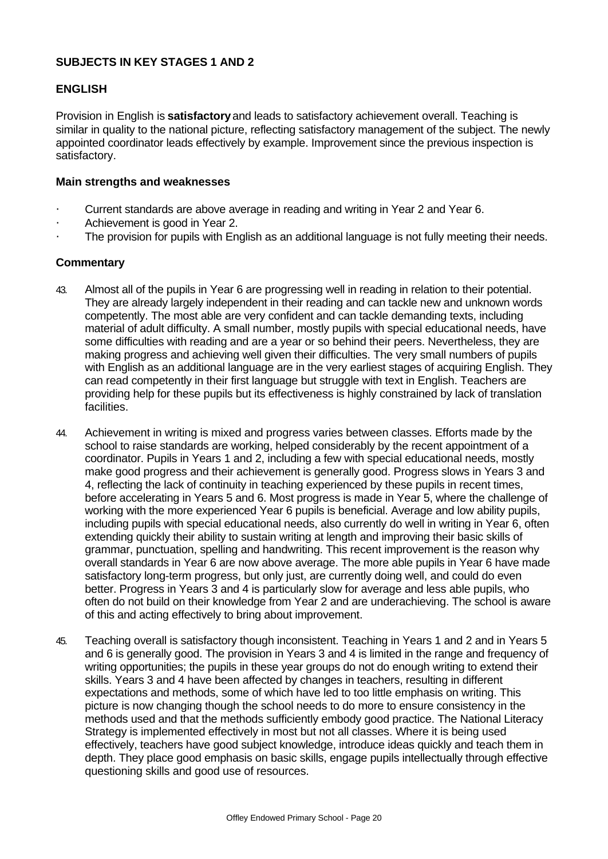#### **SUBJECTS IN KEY STAGES 1 AND 2**

#### **ENGLISH**

Provision in English is **satisfactory** and leads to satisfactory achievement overall. Teaching is similar in quality to the national picture, reflecting satisfactory management of the subject. The newly appointed coordinator leads effectively by example. Improvement since the previous inspection is satisfactory.

#### **Main strengths and weaknesses**

- · Current standards are above average in reading and writing in Year 2 and Year 6.
- Achievement is good in Year 2.
- · The provision for pupils with English as an additional language is not fully meeting their needs.

- 43. Almost all of the pupils in Year 6 are progressing well in reading in relation to their potential. They are already largely independent in their reading and can tackle new and unknown words competently. The most able are very confident and can tackle demanding texts, including material of adult difficulty. A small number, mostly pupils with special educational needs, have some difficulties with reading and are a year or so behind their peers. Nevertheless, they are making progress and achieving well given their difficulties. The very small numbers of pupils with English as an additional language are in the very earliest stages of acquiring English. They can read competently in their first language but struggle with text in English. Teachers are providing help for these pupils but its effectiveness is highly constrained by lack of translation facilities.
- 44. Achievement in writing is mixed and progress varies between classes. Efforts made by the school to raise standards are working, helped considerably by the recent appointment of a coordinator. Pupils in Years 1 and 2, including a few with special educational needs, mostly make good progress and their achievement is generally good. Progress slows in Years 3 and 4, reflecting the lack of continuity in teaching experienced by these pupils in recent times, before accelerating in Years 5 and 6. Most progress is made in Year 5, where the challenge of working with the more experienced Year 6 pupils is beneficial. Average and low ability pupils, including pupils with special educational needs, also currently do well in writing in Year 6, often extending quickly their ability to sustain writing at length and improving their basic skills of grammar, punctuation, spelling and handwriting. This recent improvement is the reason why overall standards in Year 6 are now above average. The more able pupils in Year 6 have made satisfactory long-term progress, but only just, are currently doing well, and could do even better. Progress in Years 3 and 4 is particularly slow for average and less able pupils, who often do not build on their knowledge from Year 2 and are underachieving. The school is aware of this and acting effectively to bring about improvement.
- 45. Teaching overall is satisfactory though inconsistent. Teaching in Years 1 and 2 and in Years 5 and 6 is generally good. The provision in Years 3 and 4 is limited in the range and frequency of writing opportunities; the pupils in these year groups do not do enough writing to extend their skills. Years 3 and 4 have been affected by changes in teachers, resulting in different expectations and methods, some of which have led to too little emphasis on writing. This picture is now changing though the school needs to do more to ensure consistency in the methods used and that the methods sufficiently embody good practice. The National Literacy Strategy is implemented effectively in most but not all classes. Where it is being used effectively, teachers have good subject knowledge, introduce ideas quickly and teach them in depth. They place good emphasis on basic skills, engage pupils intellectually through effective questioning skills and good use of resources.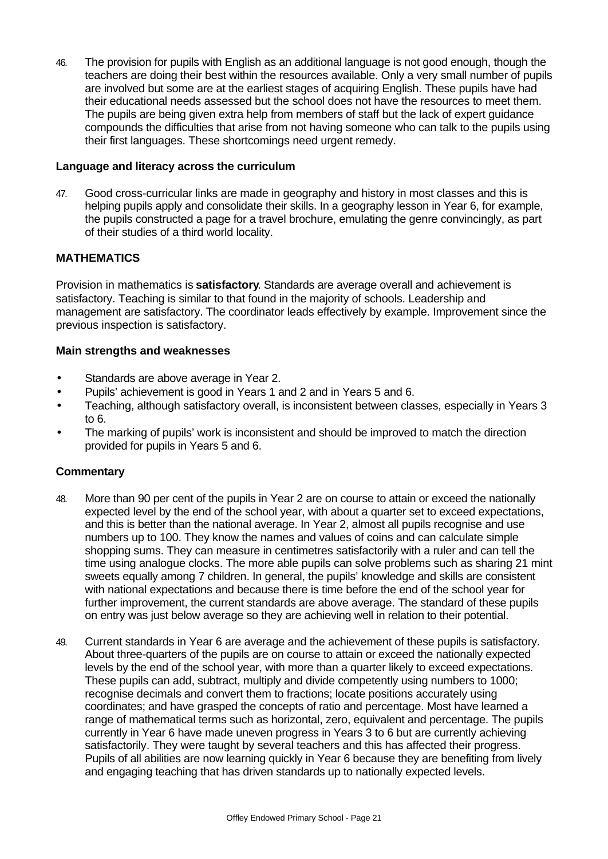46. The provision for pupils with English as an additional language is not good enough, though the teachers are doing their best within the resources available. Only a very small number of pupils are involved but some are at the earliest stages of acquiring English. These pupils have had their educational needs assessed but the school does not have the resources to meet them. The pupils are being given extra help from members of staff but the lack of expert guidance compounds the difficulties that arise from not having someone who can talk to the pupils using their first languages. These shortcomings need urgent remedy.

#### **Language and literacy across the curriculum**

47. Good cross-curricular links are made in geography and history in most classes and this is helping pupils apply and consolidate their skills. In a geography lesson in Year 6, for example, the pupils constructed a page for a travel brochure, emulating the genre convincingly, as part of their studies of a third world locality.

#### **MATHEMATICS**

Provision in mathematics is **satisfactory**. Standards are average overall and achievement is satisfactory. Teaching is similar to that found in the majority of schools. Leadership and management are satisfactory. The coordinator leads effectively by example. Improvement since the previous inspection is satisfactory.

#### **Main strengths and weaknesses**

- Standards are above average in Year 2.
- Pupils' achievement is good in Years 1 and 2 and in Years 5 and 6.
- Teaching, although satisfactory overall, is inconsistent between classes, especially in Years 3 to 6.
- The marking of pupils' work is inconsistent and should be improved to match the direction provided for pupils in Years 5 and 6.

- 48. More than 90 per cent of the pupils in Year 2 are on course to attain or exceed the nationally expected level by the end of the school year, with about a quarter set to exceed expectations, and this is better than the national average. In Year 2, almost all pupils recognise and use numbers up to 100. They know the names and values of coins and can calculate simple shopping sums. They can measure in centimetres satisfactorily with a ruler and can tell the time using analogue clocks. The more able pupils can solve problems such as sharing 21 mint sweets equally among 7 children. In general, the pupils' knowledge and skills are consistent with national expectations and because there is time before the end of the school year for further improvement, the current standards are above average. The standard of these pupils on entry was just below average so they are achieving well in relation to their potential.
- 49. Current standards in Year 6 are average and the achievement of these pupils is satisfactory. About three-quarters of the pupils are on course to attain or exceed the nationally expected levels by the end of the school year, with more than a quarter likely to exceed expectations. These pupils can add, subtract, multiply and divide competently using numbers to 1000; recognise decimals and convert them to fractions; locate positions accurately using coordinates; and have grasped the concepts of ratio and percentage. Most have learned a range of mathematical terms such as horizontal, zero, equivalent and percentage. The pupils currently in Year 6 have made uneven progress in Years 3 to 6 but are currently achieving satisfactorily. They were taught by several teachers and this has affected their progress. Pupils of all abilities are now learning quickly in Year 6 because they are benefiting from lively and engaging teaching that has driven standards up to nationally expected levels.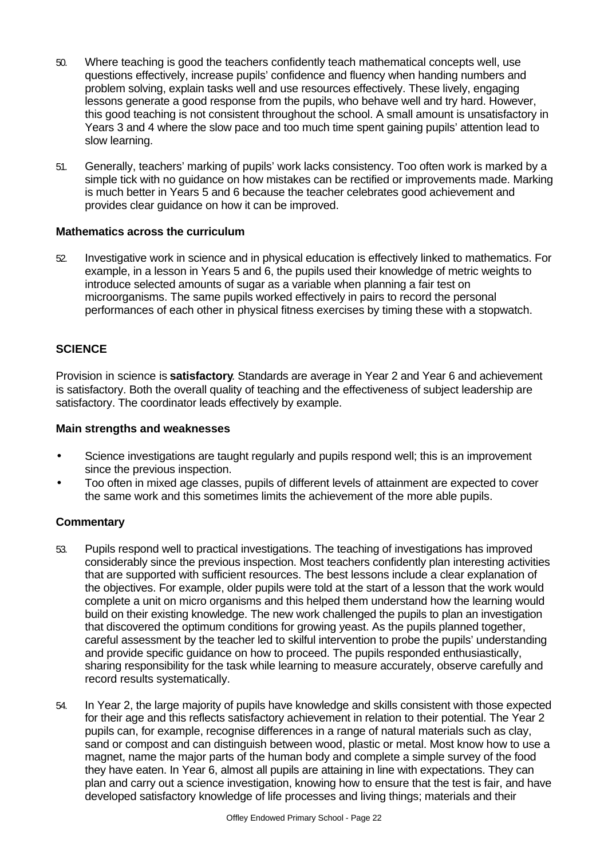- 50. Where teaching is good the teachers confidently teach mathematical concepts well, use questions effectively, increase pupils' confidence and fluency when handing numbers and problem solving, explain tasks well and use resources effectively. These lively, engaging lessons generate a good response from the pupils, who behave well and try hard. However, this good teaching is not consistent throughout the school. A small amount is unsatisfactory in Years 3 and 4 where the slow pace and too much time spent gaining pupils' attention lead to slow learning.
- 51. Generally, teachers' marking of pupils' work lacks consistency. Too often work is marked by a simple tick with no guidance on how mistakes can be rectified or improvements made. Marking is much better in Years 5 and 6 because the teacher celebrates good achievement and provides clear guidance on how it can be improved.

#### **Mathematics across the curriculum**

52. Investigative work in science and in physical education is effectively linked to mathematics. For example, in a lesson in Years 5 and 6, the pupils used their knowledge of metric weights to introduce selected amounts of sugar as a variable when planning a fair test on microorganisms. The same pupils worked effectively in pairs to record the personal performances of each other in physical fitness exercises by timing these with a stopwatch.

## **SCIENCE**

Provision in science is **satisfactory**. Standards are average in Year 2 and Year 6 and achievement is satisfactory. Both the overall quality of teaching and the effectiveness of subject leadership are satisfactory. The coordinator leads effectively by example.

#### **Main strengths and weaknesses**

- Science investigations are taught regularly and pupils respond well; this is an improvement since the previous inspection.
- Too often in mixed age classes, pupils of different levels of attainment are expected to cover the same work and this sometimes limits the achievement of the more able pupils.

- 53. Pupils respond well to practical investigations. The teaching of investigations has improved considerably since the previous inspection. Most teachers confidently plan interesting activities that are supported with sufficient resources. The best lessons include a clear explanation of the objectives. For example, older pupils were told at the start of a lesson that the work would complete a unit on micro organisms and this helped them understand how the learning would build on their existing knowledge. The new work challenged the pupils to plan an investigation that discovered the optimum conditions for growing yeast. As the pupils planned together, careful assessment by the teacher led to skilful intervention to probe the pupils' understanding and provide specific guidance on how to proceed. The pupils responded enthusiastically, sharing responsibility for the task while learning to measure accurately, observe carefully and record results systematically.
- 54. In Year 2, the large majority of pupils have knowledge and skills consistent with those expected for their age and this reflects satisfactory achievement in relation to their potential. The Year 2 pupils can, for example, recognise differences in a range of natural materials such as clay, sand or compost and can distinguish between wood, plastic or metal. Most know how to use a magnet, name the major parts of the human body and complete a simple survey of the food they have eaten. In Year 6, almost all pupils are attaining in line with expectations. They can plan and carry out a science investigation, knowing how to ensure that the test is fair, and have developed satisfactory knowledge of life processes and living things; materials and their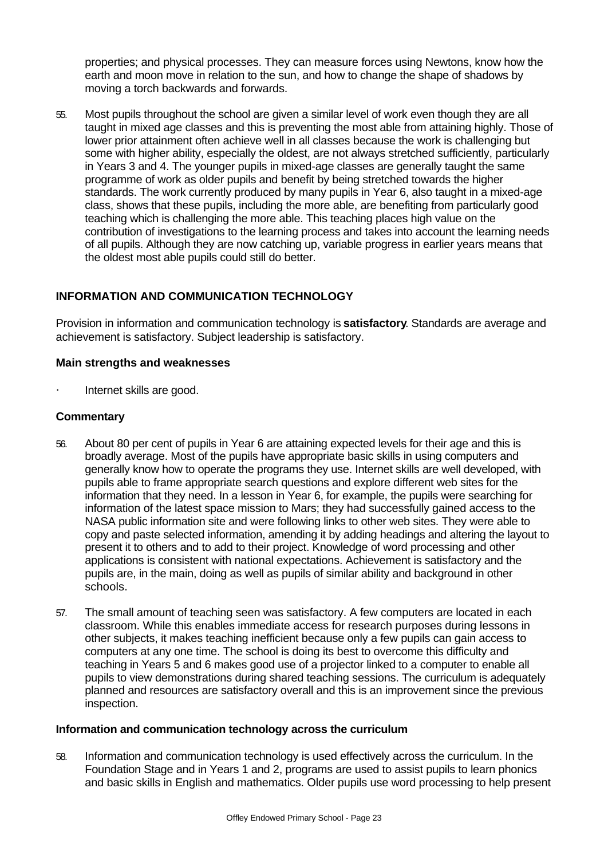properties; and physical processes. They can measure forces using Newtons, know how the earth and moon move in relation to the sun, and how to change the shape of shadows by moving a torch backwards and forwards.

55. Most pupils throughout the school are given a similar level of work even though they are all taught in mixed age classes and this is preventing the most able from attaining highly. Those of lower prior attainment often achieve well in all classes because the work is challenging but some with higher ability, especially the oldest, are not always stretched sufficiently, particularly in Years 3 and 4. The younger pupils in mixed-age classes are generally taught the same programme of work as older pupils and benefit by being stretched towards the higher standards. The work currently produced by many pupils in Year 6, also taught in a mixed-age class, shows that these pupils, including the more able, are benefiting from particularly good teaching which is challenging the more able. This teaching places high value on the contribution of investigations to the learning process and takes into account the learning needs of all pupils. Although they are now catching up, variable progress in earlier years means that the oldest most able pupils could still do better.

## **INFORMATION AND COMMUNICATION TECHNOLOGY**

Provision in information and communication technology is **satisfactory**. Standards are average and achievement is satisfactory. Subject leadership is satisfactory.

#### **Main strengths and weaknesses**

Internet skills are good.

#### **Commentary**

- 56. About 80 per cent of pupils in Year 6 are attaining expected levels for their age and this is broadly average. Most of the pupils have appropriate basic skills in using computers and generally know how to operate the programs they use. Internet skills are well developed, with pupils able to frame appropriate search questions and explore different web sites for the information that they need. In a lesson in Year 6, for example, the pupils were searching for information of the latest space mission to Mars; they had successfully gained access to the NASA public information site and were following links to other web sites. They were able to copy and paste selected information, amending it by adding headings and altering the layout to present it to others and to add to their project. Knowledge of word processing and other applications is consistent with national expectations. Achievement is satisfactory and the pupils are, in the main, doing as well as pupils of similar ability and background in other schools.
- 57. The small amount of teaching seen was satisfactory. A few computers are located in each classroom. While this enables immediate access for research purposes during lessons in other subjects, it makes teaching inefficient because only a few pupils can gain access to computers at any one time. The school is doing its best to overcome this difficulty and teaching in Years 5 and 6 makes good use of a projector linked to a computer to enable all pupils to view demonstrations during shared teaching sessions. The curriculum is adequately planned and resources are satisfactory overall and this is an improvement since the previous inspection.

#### **Information and communication technology across the curriculum**

58. Information and communication technology is used effectively across the curriculum. In the Foundation Stage and in Years 1 and 2, programs are used to assist pupils to learn phonics and basic skills in English and mathematics. Older pupils use word processing to help present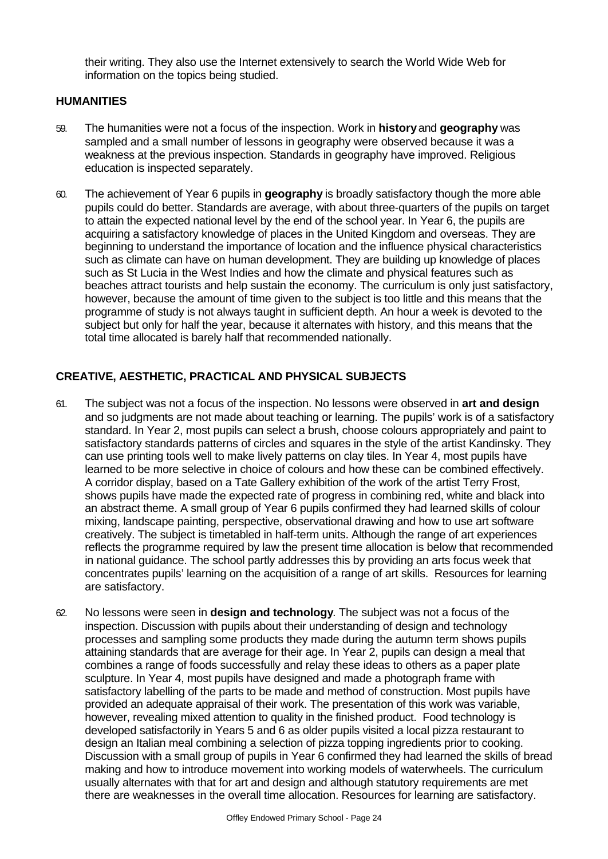their writing. They also use the Internet extensively to search the World Wide Web for information on the topics being studied.

#### **HUMANITIES**

- 59. The humanities were not a focus of the inspection. Work in **history** and **geography** was sampled and a small number of lessons in geography were observed because it was a weakness at the previous inspection. Standards in geography have improved. Religious education is inspected separately.
- 60. The achievement of Year 6 pupils in **geography** is broadly satisfactory though the more able pupils could do better. Standards are average, with about three-quarters of the pupils on target to attain the expected national level by the end of the school year. In Year 6, the pupils are acquiring a satisfactory knowledge of places in the United Kingdom and overseas. They are beginning to understand the importance of location and the influence physical characteristics such as climate can have on human development. They are building up knowledge of places such as St Lucia in the West Indies and how the climate and physical features such as beaches attract tourists and help sustain the economy. The curriculum is only just satisfactory, however, because the amount of time given to the subject is too little and this means that the programme of study is not always taught in sufficient depth. An hour a week is devoted to the subject but only for half the year, because it alternates with history, and this means that the total time allocated is barely half that recommended nationally.

## **CREATIVE, AESTHETIC, PRACTICAL AND PHYSICAL SUBJECTS**

- 61. The subject was not a focus of the inspection. No lessons were observed in **art and design** and so judgments are not made about teaching or learning. The pupils' work is of a satisfactory standard. In Year 2, most pupils can select a brush, choose colours appropriately and paint to satisfactory standards patterns of circles and squares in the style of the artist Kandinsky. They can use printing tools well to make lively patterns on clay tiles. In Year 4, most pupils have learned to be more selective in choice of colours and how these can be combined effectively. A corridor display, based on a Tate Gallery exhibition of the work of the artist Terry Frost, shows pupils have made the expected rate of progress in combining red, white and black into an abstract theme. A small group of Year 6 pupils confirmed they had learned skills of colour mixing, landscape painting, perspective, observational drawing and how to use art software creatively. The subject is timetabled in half-term units. Although the range of art experiences reflects the programme required by law the present time allocation is below that recommended in national guidance. The school partly addresses this by providing an arts focus week that concentrates pupils' learning on the acquisition of a range of art skills. Resources for learning are satisfactory.
- 62. No lessons were seen in **design and technology**. The subject was not a focus of the inspection. Discussion with pupils about their understanding of design and technology processes and sampling some products they made during the autumn term shows pupils attaining standards that are average for their age. In Year 2, pupils can design a meal that combines a range of foods successfully and relay these ideas to others as a paper plate sculpture. In Year 4, most pupils have designed and made a photograph frame with satisfactory labelling of the parts to be made and method of construction. Most pupils have provided an adequate appraisal of their work. The presentation of this work was variable, however, revealing mixed attention to quality in the finished product. Food technology is developed satisfactorily in Years 5 and 6 as older pupils visited a local pizza restaurant to design an Italian meal combining a selection of pizza topping ingredients prior to cooking. Discussion with a small group of pupils in Year 6 confirmed they had learned the skills of bread making and how to introduce movement into working models of waterwheels. The curriculum usually alternates with that for art and design and although statutory requirements are met there are weaknesses in the overall time allocation. Resources for learning are satisfactory.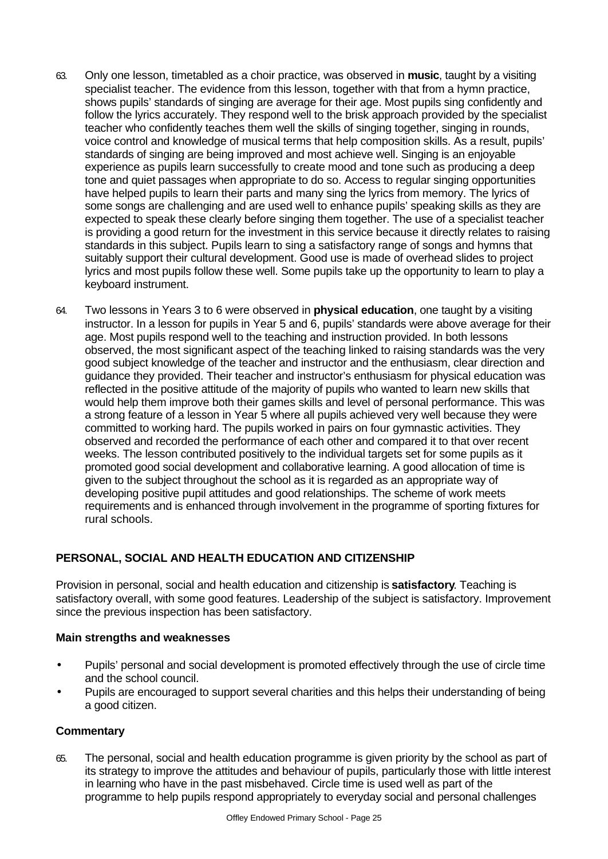- 63. Only one lesson, timetabled as a choir practice, was observed in **music**, taught by a visiting specialist teacher. The evidence from this lesson, together with that from a hymn practice, shows pupils' standards of singing are average for their age. Most pupils sing confidently and follow the lyrics accurately. They respond well to the brisk approach provided by the specialist teacher who confidently teaches them well the skills of singing together, singing in rounds, voice control and knowledge of musical terms that help composition skills. As a result, pupils' standards of singing are being improved and most achieve well. Singing is an enjoyable experience as pupils learn successfully to create mood and tone such as producing a deep tone and quiet passages when appropriate to do so. Access to regular singing opportunities have helped pupils to learn their parts and many sing the lyrics from memory. The lyrics of some songs are challenging and are used well to enhance pupils' speaking skills as they are expected to speak these clearly before singing them together. The use of a specialist teacher is providing a good return for the investment in this service because it directly relates to raising standards in this subject. Pupils learn to sing a satisfactory range of songs and hymns that suitably support their cultural development. Good use is made of overhead slides to project lyrics and most pupils follow these well. Some pupils take up the opportunity to learn to play a keyboard instrument.
- 64. Two lessons in Years 3 to 6 were observed in **physical education**, one taught by a visiting instructor. In a lesson for pupils in Year 5 and 6, pupils' standards were above average for their age. Most pupils respond well to the teaching and instruction provided. In both lessons observed, the most significant aspect of the teaching linked to raising standards was the very good subject knowledge of the teacher and instructor and the enthusiasm, clear direction and guidance they provided. Their teacher and instructor's enthusiasm for physical education was reflected in the positive attitude of the majority of pupils who wanted to learn new skills that would help them improve both their games skills and level of personal performance. This was a strong feature of a lesson in Year 5 where all pupils achieved very well because they were committed to working hard. The pupils worked in pairs on four gymnastic activities. They observed and recorded the performance of each other and compared it to that over recent weeks. The lesson contributed positively to the individual targets set for some pupils as it promoted good social development and collaborative learning. A good allocation of time is given to the subject throughout the school as it is regarded as an appropriate way of developing positive pupil attitudes and good relationships. The scheme of work meets requirements and is enhanced through involvement in the programme of sporting fixtures for rural schools.

# **PERSONAL, SOCIAL AND HEALTH EDUCATION AND CITIZENSHIP**

Provision in personal, social and health education and citizenship is **satisfactory**. Teaching is satisfactory overall, with some good features. Leadership of the subject is satisfactory. Improvement since the previous inspection has been satisfactory.

#### **Main strengths and weaknesses**

- Pupils' personal and social development is promoted effectively through the use of circle time and the school council.
- Pupils are encouraged to support several charities and this helps their understanding of being a good citizen.

#### **Commentary**

65. The personal, social and health education programme is given priority by the school as part of its strategy to improve the attitudes and behaviour of pupils, particularly those with little interest in learning who have in the past misbehaved. Circle time is used well as part of the programme to help pupils respond appropriately to everyday social and personal challenges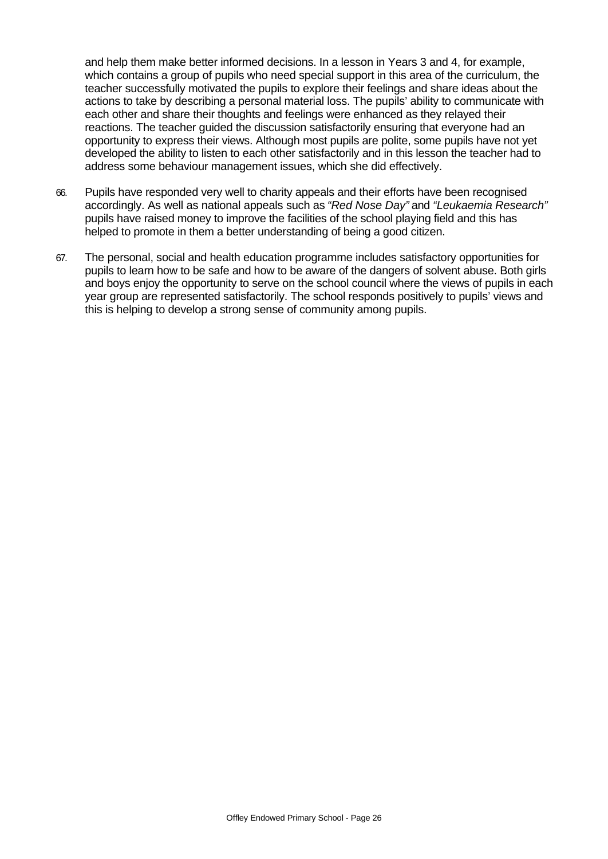and help them make better informed decisions. In a lesson in Years 3 and 4, for example, which contains a group of pupils who need special support in this area of the curriculum, the teacher successfully motivated the pupils to explore their feelings and share ideas about the actions to take by describing a personal material loss. The pupils' ability to communicate with each other and share their thoughts and feelings were enhanced as they relayed their reactions. The teacher guided the discussion satisfactorily ensuring that everyone had an opportunity to express their views. Although most pupils are polite, some pupils have not yet developed the ability to listen to each other satisfactorily and in this lesson the teacher had to address some behaviour management issues, which she did effectively.

- 66. Pupils have responded very well to charity appeals and their efforts have been recognised accordingly. As well as national appeals such as *"Red Nose Day"* and *"Leukaemia Research"* pupils have raised money to improve the facilities of the school playing field and this has helped to promote in them a better understanding of being a good citizen.
- 67. The personal, social and health education programme includes satisfactory opportunities for pupils to learn how to be safe and how to be aware of the dangers of solvent abuse. Both girls and boys enjoy the opportunity to serve on the school council where the views of pupils in each year group are represented satisfactorily. The school responds positively to pupils' views and this is helping to develop a strong sense of community among pupils.